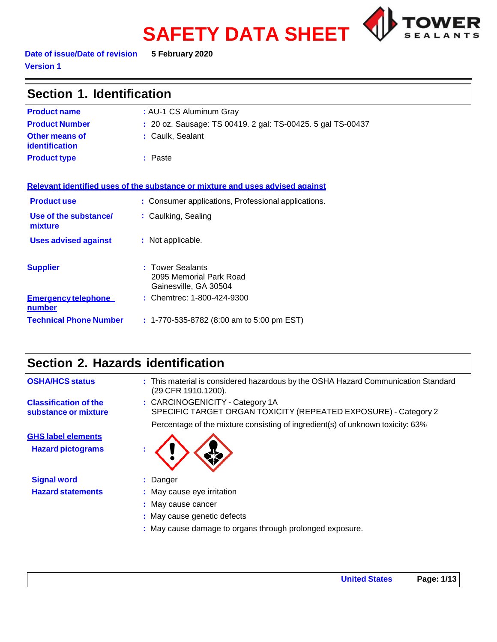# **SAFETY DATA SHEET**



**Date of issue/Date of revision 5 February 2020 Version 1**

| <b>Section 1. Identification</b>               |                                                                               |  |
|------------------------------------------------|-------------------------------------------------------------------------------|--|
| <b>Product name</b>                            | : AU-1 CS Aluminum Gray                                                       |  |
| <b>Product Number</b>                          | : 20 oz. Sausage: TS 00419. 2 gal: TS-00425. 5 gal TS-00437                   |  |
| <b>Other means of</b><br><b>identification</b> | : Caulk, Sealant                                                              |  |
| <b>Product type</b>                            | : Paste                                                                       |  |
|                                                | Relevant identified uses of the substance or mixture and uses advised against |  |
|                                                |                                                                               |  |
| <b>Product use</b>                             | : Consumer applications, Professional applications.                           |  |
| Use of the substance/<br>mixture               | : Caulking, Sealing                                                           |  |
| <b>Uses advised against</b>                    | : Not applicable.                                                             |  |
| <b>Supplier</b>                                | : Tower Sealants<br>2095 Memorial Park Road<br>Gainesville, GA 30504          |  |
| <b>Emergency telephone</b><br>number           | : Chemtrec: 1-800-424-9300                                                    |  |
| <b>Technical Phone Number</b>                  | $: 1-770-535-8782$ (8:00 am to 5:00 pm EST)                                   |  |

# **Section 2. Hazards identification**

| <b>OSHA/HCS status</b>                                | : This material is considered hazardous by the OSHA Hazard Communication Standard<br>(29 CFR 1910.1200).                                                                             |
|-------------------------------------------------------|--------------------------------------------------------------------------------------------------------------------------------------------------------------------------------------|
| <b>Classification of the</b><br>substance or mixture  | : CARCINOGENICITY - Category 1A<br>SPECIFIC TARGET ORGAN TOXICITY (REPEATED EXPOSURE) - Category 2<br>Percentage of the mixture consisting of ingredient(s) of unknown toxicity: 63% |
| <b>GHS label elements</b><br><b>Hazard pictograms</b> |                                                                                                                                                                                      |
| <b>Signal word</b>                                    | : Danger                                                                                                                                                                             |
| <b>Hazard statements</b>                              | : May cause eye irritation                                                                                                                                                           |
|                                                       | : May cause cancer                                                                                                                                                                   |
|                                                       | : May cause genetic defects                                                                                                                                                          |
|                                                       | : May cause damage to organs through prolonged exposure.                                                                                                                             |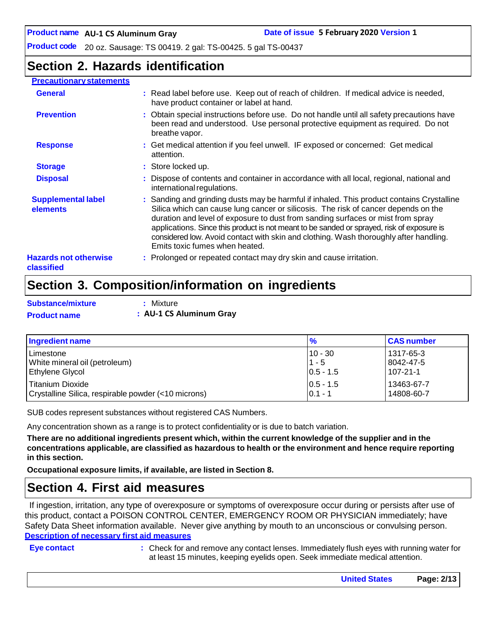**Product code** 20 oz. Sausage: TS 00419. 2 gal: TS-00425. 5 gal TS-00437

### **Section 2. Hazards identification**

### **Precautionary statements**

| <b>General</b>                             | : Read label before use. Keep out of reach of children. If medical advice is needed,<br>have product container or label at hand.                                                                                                                                                                                                                                                                                                                                                            |
|--------------------------------------------|---------------------------------------------------------------------------------------------------------------------------------------------------------------------------------------------------------------------------------------------------------------------------------------------------------------------------------------------------------------------------------------------------------------------------------------------------------------------------------------------|
| <b>Prevention</b>                          | : Obtain special instructions before use. Do not handle until all safety precautions have<br>been read and understood. Use personal protective equipment as required. Do not<br>breathe vapor.                                                                                                                                                                                                                                                                                              |
| <b>Response</b>                            | : Get medical attention if you feel unwell. IF exposed or concerned: Get medical<br>attention.                                                                                                                                                                                                                                                                                                                                                                                              |
| <b>Storage</b>                             | : Store locked up.                                                                                                                                                                                                                                                                                                                                                                                                                                                                          |
| <b>Disposal</b>                            | : Dispose of contents and container in accordance with all local, regional, national and<br>international regulations.                                                                                                                                                                                                                                                                                                                                                                      |
| <b>Supplemental label</b><br>elements      | : Sanding and grinding dusts may be harmful if inhaled. This product contains Crystalline<br>Silica which can cause lung cancer or silicosis. The risk of cancer depends on the<br>duration and level of exposure to dust from sanding surfaces or mist from spray<br>applications. Since this product is not meant to be sanded or sprayed, risk of exposure is<br>considered low. Avoid contact with skin and clothing. Wash thoroughly after handling.<br>Emits toxic fumes when heated. |
| <b>Hazards not otherwise</b><br>classified | : Prolonged or repeated contact may dry skin and cause irritation.                                                                                                                                                                                                                                                                                                                                                                                                                          |

### **Section 3. Composition/information on ingredients**

| <b>Substance/mixture</b> | : Mixture               |
|--------------------------|-------------------------|
| <b>Product name</b>      | : AU-1 CS Aluminum Gray |

| Ingredient name                                     | $\frac{9}{6}$ | <b>CAS number</b> |
|-----------------------------------------------------|---------------|-------------------|
| l Limestone                                         | $10 - 30$     | 1317-65-3         |
| White mineral oil (petroleum)                       | $1 - 5$       | 8042-47-5         |
| <b>Ethylene Glycol</b>                              | $0.5 - 1.5$   | 107-21-1          |
| l Titanium Dioxide                                  | $ 0.5 - 1.5 $ | 13463-67-7        |
| Crystalline Silica, respirable powder (<10 microns) | $0.1 - 1$     | 14808-60-7        |

SUB codes represent substances without registered CAS Numbers.

Any concentration shown as a range is to protect confidentiality or is due to batch variation.

There are no additional ingredients present which, within the current knowledge of the supplier and in the **concentrations applicable, are classified as hazardous to health or the environment and hence require reporting in this section.**

**Occupational exposure limits, if available, are listed in Section 8.**

### **Section 4. First aid measures**

If ingestion, irritation, any type of overexposure or symptoms of overexposure occur during or persists after use of this product, contact a POISON CONTROL CENTER, EMERGENCY ROOM OR PHYSICIAN immediately; have Safety Data Sheet information available. Never give anything by mouth to an unconscious or convulsing person. **Description of necessary first aid measures**

**Eye contact :** Check for and remove any contact lenses. Immediately flush eyes with running water for at least 15 minutes, keeping eyelids open. Seek immediate medical attention.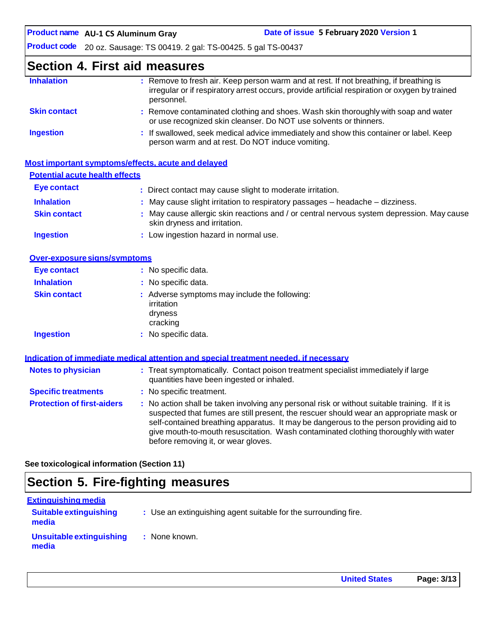**Product code** 20 oz. Sausage: TS 00419. 2 gal: TS-00425. 5 gal TS-00437

### **Section 4. First aid measures**

| <b>Inhalation</b>   | : Remove to fresh air. Keep person warm and at rest. If not breathing, if breathing is<br>irregular or if respiratory arrest occurs, provide artificial respiration or oxygen by trained<br>personnel. |
|---------------------|--------------------------------------------------------------------------------------------------------------------------------------------------------------------------------------------------------|
| <b>Skin contact</b> | : Remove contaminated clothing and shoes. Wash skin thoroughly with soap and water<br>or use recognized skin cleanser. Do NOT use solvents or thinners.                                                |
| <b>Ingestion</b>    | : If swallowed, seek medical advice immediately and show this container or label. Keep<br>person warm and at rest. Do NOT induce vomiting.                                                             |

|                                       | Most important symptoms/effects, acute and delayed                                                                        |
|---------------------------------------|---------------------------------------------------------------------------------------------------------------------------|
| <b>Potential acute health effects</b> |                                                                                                                           |
| Eye contact                           | : Direct contact may cause slight to moderate irritation.                                                                 |
| <b>Inhalation</b>                     | $\therefore$ May cause slight irritation to respiratory passages $-$ headache $-$ dizziness.                              |
| <b>Skin contact</b>                   | : May cause allergic skin reactions and / or central nervous system depression. May cause<br>skin dryness and irritation. |
| <b>Ingestion</b>                      | : Low ingestion hazard in normal use.                                                                                     |

| Over-exposure signs/symptoms |                                                                                    |
|------------------------------|------------------------------------------------------------------------------------|
| <b>Eye contact</b>           | : No specific data.                                                                |
| <b>Inhalation</b>            | : No specific data.                                                                |
| <b>Skin contact</b>          | : Adverse symptoms may include the following:<br>irritation<br>dryness<br>cracking |
| <b>Ingestion</b>             | : No specific data.                                                                |

|                                   | Indication of immediate medical attention and special treatment needed, if necessary                                                                                                                                                                                                                                                                                                                            |
|-----------------------------------|-----------------------------------------------------------------------------------------------------------------------------------------------------------------------------------------------------------------------------------------------------------------------------------------------------------------------------------------------------------------------------------------------------------------|
| <b>Notes to physician</b>         | : Treat symptomatically. Contact poison treatment specialist immediately if large<br>quantities have been ingested or inhaled.                                                                                                                                                                                                                                                                                  |
| <b>Specific treatments</b>        | : No specific treatment.                                                                                                                                                                                                                                                                                                                                                                                        |
| <b>Protection of first-aiders</b> | : No action shall be taken involving any personal risk or without suitable training. If it is<br>suspected that fumes are still present, the rescuer should wear an appropriate mask or<br>self-contained breathing apparatus. It may be dangerous to the person providing aid to<br>give mouth-to-mouth resuscitation. Wash contaminated clothing thoroughly with water<br>before removing it, or wear gloves. |

**See toxicological information (Section 11)**

### **Section 5. Fire-fighting measures**

| Extinguishing media                    |                                                                 |
|----------------------------------------|-----------------------------------------------------------------|
| <b>Suitable extinguishing</b><br>media | : Use an extinguishing agent suitable for the surrounding fire. |
| Unsuitable extinguishing<br>media      | : None known.                                                   |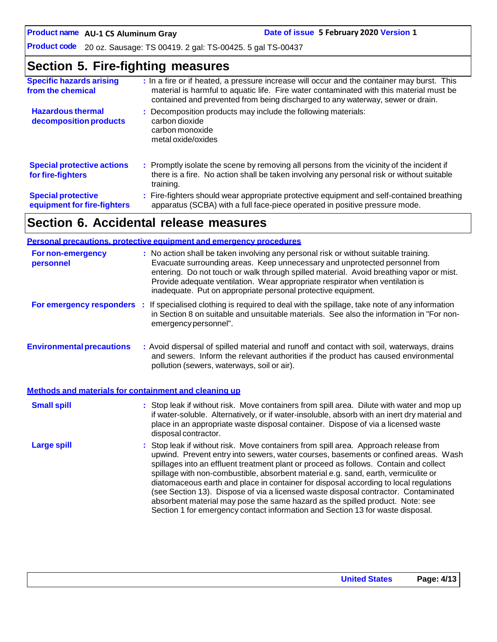**Date of issue 5 February 2020 Version 1** 

**Product code** 20 oz. Sausage: TS 00419. 2 gal: TS-00425. 5 gal TS-00437

# **Section 5. Fire-fighting measures**

| <b>Specific hazards arising</b><br>from the chemical     | : In a fire or if heated, a pressure increase will occur and the container may burst. This<br>material is harmful to aquatic life. Fire water contaminated with this material must be<br>contained and prevented from being discharged to any waterway, sewer or drain. |
|----------------------------------------------------------|-------------------------------------------------------------------------------------------------------------------------------------------------------------------------------------------------------------------------------------------------------------------------|
| <b>Hazardous thermal</b><br>decomposition products       | : Decomposition products may include the following materials:<br>carbon dioxide<br>carbon monoxide<br>metal oxide/oxides                                                                                                                                                |
| <b>Special protective actions</b><br>for fire-fighters   | : Promptly isolate the scene by removing all persons from the vicinity of the incident if<br>there is a fire. No action shall be taken involving any personal risk or without suitable<br>training.                                                                     |
| <b>Special protective</b><br>equipment for fire-fighters | : Fire-fighters should wear appropriate protective equipment and self-contained breathing<br>apparatus (SCBA) with a full face-piece operated in positive pressure mode.                                                                                                |

# **Section 6. Accidental release measures**

|                                                       | <b>Personal precautions, protective equipment and emergency procedures</b>                                                                                                                                                                                                                                                                                                                                                                                                                                                                                                                                                                                                                                   |  |
|-------------------------------------------------------|--------------------------------------------------------------------------------------------------------------------------------------------------------------------------------------------------------------------------------------------------------------------------------------------------------------------------------------------------------------------------------------------------------------------------------------------------------------------------------------------------------------------------------------------------------------------------------------------------------------------------------------------------------------------------------------------------------------|--|
| For non-emergency<br>personnel                        | : No action shall be taken involving any personal risk or without suitable training.<br>Evacuate surrounding areas. Keep unnecessary and unprotected personnel from<br>entering. Do not touch or walk through spilled material. Avoid breathing vapor or mist.<br>Provide adequate ventilation. Wear appropriate respirator when ventilation is<br>inadequate. Put on appropriate personal protective equipment.                                                                                                                                                                                                                                                                                             |  |
|                                                       | For emergency responders : If specialised clothing is required to deal with the spillage, take note of any information<br>in Section 8 on suitable and unsuitable materials. See also the information in "For non-<br>emergency personnel".                                                                                                                                                                                                                                                                                                                                                                                                                                                                  |  |
| <b>Environmental precautions</b>                      | : Avoid dispersal of spilled material and runoff and contact with soil, waterways, drains<br>and sewers. Inform the relevant authorities if the product has caused environmental<br>pollution (sewers, waterways, soil or air).                                                                                                                                                                                                                                                                                                                                                                                                                                                                              |  |
| Methods and materials for containment and cleaning up |                                                                                                                                                                                                                                                                                                                                                                                                                                                                                                                                                                                                                                                                                                              |  |
| <b>Small spill</b>                                    | : Stop leak if without risk. Move containers from spill area. Dilute with water and mop up<br>if water-soluble. Alternatively, or if water-insoluble, absorb with an inert dry material and<br>place in an appropriate waste disposal container. Dispose of via a licensed waste<br>disposal contractor.                                                                                                                                                                                                                                                                                                                                                                                                     |  |
| <b>Large spill</b>                                    | : Stop leak if without risk. Move containers from spill area. Approach release from<br>upwind. Prevent entry into sewers, water courses, basements or confined areas. Wash<br>spillages into an effluent treatment plant or proceed as follows. Contain and collect<br>spillage with non-combustible, absorbent material e.g. sand, earth, vermiculite or<br>diatomaceous earth and place in container for disposal according to local regulations<br>(see Section 13). Dispose of via a licensed waste disposal contractor. Contaminated<br>absorbent material may pose the same hazard as the spilled product. Note: see<br>Section 1 for emergency contact information and Section 13 for waste disposal. |  |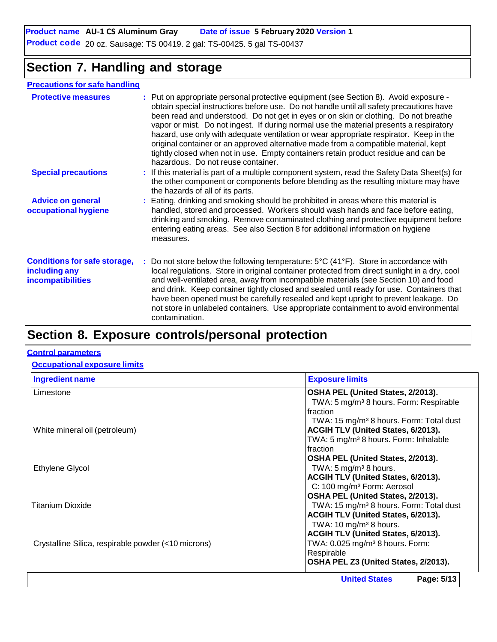**Product name AU-1 CS Aluminum Gray Date of issue 5 February 2020 Version 1**

**Product code** 20 oz. Sausage: TS 00419. 2 gal: TS-00425. 5 gal TS-00437

### **Section 7. Handling and storage**

### **Precautions for safe handling**

| <b>Protective measures</b>                                                | : Put on appropriate personal protective equipment (see Section 8). Avoid exposure -<br>obtain special instructions before use. Do not handle until all safety precautions have<br>been read and understood. Do not get in eyes or on skin or clothing. Do not breathe<br>vapor or mist. Do not ingest. If during normal use the material presents a respiratory<br>hazard, use only with adequate ventilation or wear appropriate respirator. Keep in the<br>original container or an approved alternative made from a compatible material, kept<br>tightly closed when not in use. Empty containers retain product residue and can be<br>hazardous. Do not reuse container. |  |
|---------------------------------------------------------------------------|-------------------------------------------------------------------------------------------------------------------------------------------------------------------------------------------------------------------------------------------------------------------------------------------------------------------------------------------------------------------------------------------------------------------------------------------------------------------------------------------------------------------------------------------------------------------------------------------------------------------------------------------------------------------------------|--|
| <b>Special precautions</b>                                                | : If this material is part of a multiple component system, read the Safety Data Sheet(s) for<br>the other component or components before blending as the resulting mixture may have<br>the hazards of all of its parts.                                                                                                                                                                                                                                                                                                                                                                                                                                                       |  |
| <b>Advice on general</b><br>occupational hygiene                          | : Eating, drinking and smoking should be prohibited in areas where this material is<br>handled, stored and processed. Workers should wash hands and face before eating,<br>drinking and smoking. Remove contaminated clothing and protective equipment before<br>entering eating areas. See also Section 8 for additional information on hygiene<br>measures.                                                                                                                                                                                                                                                                                                                 |  |
| <b>Conditions for safe storage,</b><br>including any<br>incompatibilities | : Do not store below the following temperature: $5^{\circ}C(41^{\circ}F)$ . Store in accordance with<br>local regulations. Store in original container protected from direct sunlight in a dry, cool<br>and well-ventilated area, away from incompatible materials (see Section 10) and food<br>and drink. Keep container tightly closed and sealed until ready for use. Containers that<br>have been opened must be carefully resealed and kept upright to prevent leakage. Do<br>not store in unlabeled containers. Use appropriate containment to avoid environmental<br>contamination.                                                                                    |  |
|                                                                           |                                                                                                                                                                                                                                                                                                                                                                                                                                                                                                                                                                                                                                                                               |  |

### **Section 8. Exposure controls/personal protection**

#### **Control parameters**

### **Occupational exposure limits**

| <b>Ingredient name</b>                              | <b>Exposure limits</b>                              |
|-----------------------------------------------------|-----------------------------------------------------|
| Limestone                                           | OSHA PEL (United States, 2/2013).                   |
|                                                     | TWA: 5 mg/m <sup>3</sup> 8 hours. Form: Respirable  |
|                                                     | fraction                                            |
|                                                     | TWA: 15 mg/m <sup>3</sup> 8 hours. Form: Total dust |
| White mineral oil (petroleum)                       | <b>ACGIH TLV (United States, 6/2013).</b>           |
|                                                     | TWA: 5 mg/m <sup>3</sup> 8 hours. Form: Inhalable   |
|                                                     | fraction                                            |
|                                                     | OSHA PEL (United States, 2/2013).                   |
| <b>Ethylene Glycol</b>                              | TWA: $5 \text{ mg/m}^3$ 8 hours.                    |
|                                                     | <b>ACGIH TLV (United States, 6/2013).</b>           |
|                                                     | C: 100 mg/m <sup>3</sup> Form: Aerosol              |
|                                                     | OSHA PEL (United States, 2/2013).                   |
| Titanium Dioxide                                    | TWA: 15 mg/m <sup>3</sup> 8 hours. Form: Total dust |
|                                                     | <b>ACGIH TLV (United States, 6/2013).</b>           |
|                                                     | TWA: $10 \text{ mg/m}^3$ 8 hours.                   |
|                                                     | ACGIH TLV (United States, 6/2013).                  |
| Crystalline Silica, respirable powder (<10 microns) | TWA: 0.025 mg/m <sup>3</sup> 8 hours. Form:         |
|                                                     | Respirable                                          |
|                                                     | OSHA PEL Z3 (United States, 2/2013).                |
|                                                     | <b>United States</b><br>Page: 5/13                  |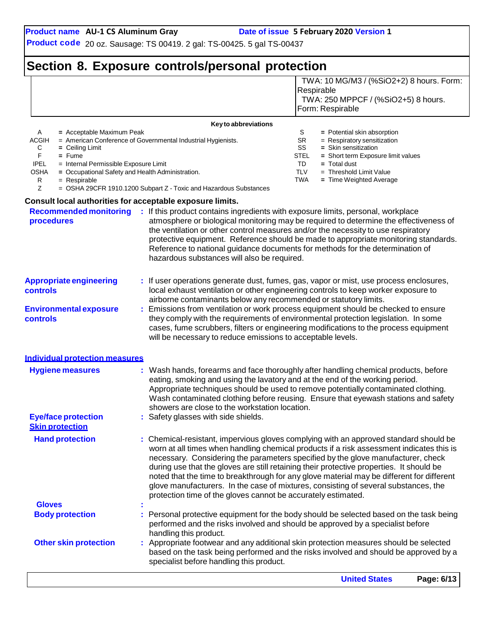TWA: 10 MG/M3 / (%SiO2+2) 8 hours. Form:

**Product code** 20 oz. Sausage: TS 00419. 2 gal: TS-00425. 5 gal TS-00437

### **Section 8. Exposure controls/personal protection**

|                                                                                                                                                                                                                                            |                                                                                                                                   | Respirable<br>TWA: 250 MPPCF / (%SiO2+5) 8 hours.<br>Form: Respirable                                                                                                                                                                                                                                                                                                                                                                                                                                                                                 |
|--------------------------------------------------------------------------------------------------------------------------------------------------------------------------------------------------------------------------------------------|-----------------------------------------------------------------------------------------------------------------------------------|-------------------------------------------------------------------------------------------------------------------------------------------------------------------------------------------------------------------------------------------------------------------------------------------------------------------------------------------------------------------------------------------------------------------------------------------------------------------------------------------------------------------------------------------------------|
|                                                                                                                                                                                                                                            | Key to abbreviations                                                                                                              |                                                                                                                                                                                                                                                                                                                                                                                                                                                                                                                                                       |
| A<br>= Acceptable Maximum Peak<br>ACGIH<br>С<br>$=$ Ceiling Limit<br>F.<br>$=$ Fume<br><b>IPEL</b><br>= Internal Permissible Exposure Limit<br><b>OSHA</b><br>= Occupational Safety and Health Administration.<br>R<br>$=$ Respirable<br>Z | = American Conference of Governmental Industrial Hygienists.<br>= OSHA 29CFR 1910.1200 Subpart Z - Toxic and Hazardous Substances | S<br>= Potential skin absorption<br>SR<br>= Respiratory sensitization<br>SS<br>$=$ Skin sensitization<br>STEL<br>= Short term Exposure limit values<br>TD<br>$=$ Total dust<br><b>TLV</b><br>$=$ Threshold Limit Value<br><b>TWA</b><br>= Time Weighted Average                                                                                                                                                                                                                                                                                       |
| Consult local authorities for acceptable exposure limits.                                                                                                                                                                                  |                                                                                                                                   |                                                                                                                                                                                                                                                                                                                                                                                                                                                                                                                                                       |
| <b>Recommended monitoring</b><br>procedures                                                                                                                                                                                                | : If this product contains ingredients with exposure limits, personal, workplace<br>hazardous substances will also be required.   | atmosphere or biological monitoring may be required to determine the effectiveness of<br>the ventilation or other control measures and/or the necessity to use respiratory<br>protective equipment. Reference should be made to appropriate monitoring standards.<br>Reference to national guidance documents for methods for the determination of                                                                                                                                                                                                    |
| <b>Appropriate engineering</b><br>controls                                                                                                                                                                                                 | airborne contaminants below any recommended or statutory limits.                                                                  | : If user operations generate dust, fumes, gas, vapor or mist, use process enclosures,<br>local exhaust ventilation or other engineering controls to keep worker exposure to                                                                                                                                                                                                                                                                                                                                                                          |
| <b>Environmental exposure</b><br>controls                                                                                                                                                                                                  | will be necessary to reduce emissions to acceptable levels.                                                                       | : Emissions from ventilation or work process equipment should be checked to ensure<br>they comply with the requirements of environmental protection legislation. In some<br>cases, fume scrubbers, filters or engineering modifications to the process equipment                                                                                                                                                                                                                                                                                      |
| <b>Individual protection measures</b>                                                                                                                                                                                                      |                                                                                                                                   |                                                                                                                                                                                                                                                                                                                                                                                                                                                                                                                                                       |
| <b>Hygiene measures</b>                                                                                                                                                                                                                    | showers are close to the workstation location.                                                                                    | Wash hands, forearms and face thoroughly after handling chemical products, before<br>eating, smoking and using the lavatory and at the end of the working period.<br>Appropriate techniques should be used to remove potentially contaminated clothing.<br>Wash contaminated clothing before reusing. Ensure that eyewash stations and safety                                                                                                                                                                                                         |
| <b>Eye/face protection</b><br><b>Skin protection</b>                                                                                                                                                                                       | Safety glasses with side shields.                                                                                                 |                                                                                                                                                                                                                                                                                                                                                                                                                                                                                                                                                       |
| <b>Hand protection</b>                                                                                                                                                                                                                     | protection time of the gloves cannot be accurately estimated.                                                                     | : Chemical-resistant, impervious gloves complying with an approved standard should be<br>worn at all times when handling chemical products if a risk assessment indicates this is<br>necessary. Considering the parameters specified by the glove manufacturer, check<br>during use that the gloves are still retaining their protective properties. It should be<br>noted that the time to breakthrough for any glove material may be different for different<br>glove manufacturers. In the case of mixtures, consisting of several substances, the |
| <b>Gloves</b>                                                                                                                                                                                                                              |                                                                                                                                   |                                                                                                                                                                                                                                                                                                                                                                                                                                                                                                                                                       |
| <b>Body protection</b>                                                                                                                                                                                                                     | handling this product.                                                                                                            | Personal protective equipment for the body should be selected based on the task being<br>performed and the risks involved and should be approved by a specialist before                                                                                                                                                                                                                                                                                                                                                                               |
| <b>Other skin protection</b>                                                                                                                                                                                                               | specialist before handling this product.                                                                                          | : Appropriate footwear and any additional skin protection measures should be selected<br>based on the task being performed and the risks involved and should be approved by a                                                                                                                                                                                                                                                                                                                                                                         |
|                                                                                                                                                                                                                                            |                                                                                                                                   |                                                                                                                                                                                                                                                                                                                                                                                                                                                                                                                                                       |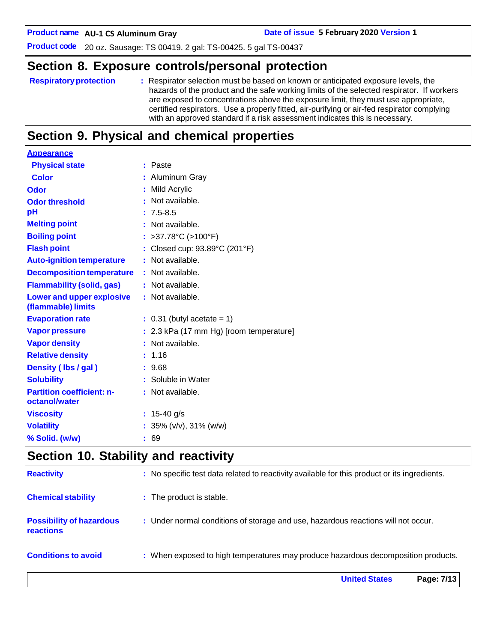**Date of issue 5 February 2020 Version 1** 

**Product code** 20 oz. Sausage: TS 00419. 2 gal: TS-00425. 5 gal TS-00437

### **Section 8. Exposure controls/personal protection**

**Respiratoryprotection :** Respirator selection must be based on known or anticipated exposure levels, the hazards of the product and the safe working limits of the selected respirator. If workers are exposed to concentrations above the exposure limit, they must use appropriate, certified respirators. Use a properly fitted, air-purifying or air-fed respirator complying with an approved standard if a risk assessment indicates this is necessary.

### **Section 9. Physical and chemical properties**

| <b>Appearance</b>                               |                                         |
|-------------------------------------------------|-----------------------------------------|
| <b>Physical state</b>                           | : Paste                                 |
| Color                                           | : Aluminum Gray                         |
| Odor                                            | : Mild Acrylic                          |
| <b>Odor threshold</b>                           | : Not available.                        |
| pH                                              | $: 7.5 - 8.5$                           |
| <b>Melting point</b>                            | : Not available.                        |
| <b>Boiling point</b>                            | : >37.78°C (>100°F)                     |
| <b>Flash point</b>                              | : Closed cup: 93.89°C (201°F)           |
| <b>Auto-ignition temperature</b>                | : Not available.                        |
| <b>Decomposition temperature</b>                | : Not available.                        |
| <b>Flammability (solid, gas)</b>                | : Not available.                        |
| Lower and upper explosive<br>(flammable) limits | : Not available.                        |
| <b>Evaporation rate</b>                         | $: 0.31$ (butyl acetate = 1)            |
| <b>Vapor pressure</b>                           | : 2.3 kPa (17 mm Hg) [room temperature] |
| <b>Vapor density</b>                            | : Not available.                        |
| <b>Relative density</b>                         | : 1.16                                  |
| Density (lbs / gal)                             | : 9.68                                  |
| <b>Solubility</b>                               | : Soluble in Water                      |
| <b>Partition coefficient: n-</b>                | : Not available.                        |
| octanol/water                                   |                                         |
| <b>Viscosity</b>                                | : 15-40 g/s                             |
| <b>Volatility</b>                               | : $35\%$ (v/v), $31\%$ (w/w)            |
| % Solid. (w/w)                                  | : 69                                    |

### **Section 10. Stability and reactivity**

|                                                     | <b>United States</b><br>Page: 7/13                                                           |
|-----------------------------------------------------|----------------------------------------------------------------------------------------------|
| <b>Conditions to avoid</b>                          | : When exposed to high temperatures may produce hazardous decomposition products.            |
| <b>Possibility of hazardous</b><br><b>reactions</b> | : Under normal conditions of storage and use, hazardous reactions will not occur.            |
| <b>Chemical stability</b>                           | : The product is stable.                                                                     |
| <b>Reactivity</b>                                   | : No specific test data related to reactivity available for this product or its ingredients. |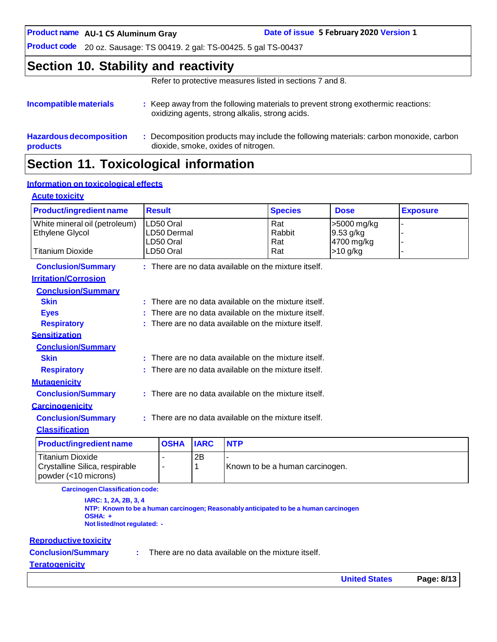**AU-1 CO-1 CO-2 FEDRAY Date of issue 5 February 2020 Version 1** 

**Product code** 20 oz. Sausage: TS 00419. 2 gal: TS-00425. 5 gal TS-00437

### **Section 10. Stability and reactivity**

Refer to protective measures listed in sections 7 and 8.

| Incompatible materials                            | : Keep away from the following materials to prevent strong exothermic reactions:<br>oxidizing agents, strong alkalis, strong acids. |
|---------------------------------------------------|-------------------------------------------------------------------------------------------------------------------------------------|
| <b>Hazardous decomposition</b><br><b>products</b> | : Decomposition products may include the following materials: carbon monoxide, carbon<br>dioxide, smoke, oxides of nitrogen.        |

# **Section 11. Toxicological information**

### **Information on toxicological effects**

#### **Acute toxicity**

| <b>Product/ingredient name</b>                          | <b>Result</b>            |             |            | <b>Species</b>                                         | <b>Dose</b>              | <b>Exposure</b> |
|---------------------------------------------------------|--------------------------|-------------|------------|--------------------------------------------------------|--------------------------|-----------------|
| White mineral oil (petroleum)<br><b>Ethylene Glycol</b> | LD50 Oral<br>LD50 Dermal |             |            | Rat<br>Rabbit                                          | >5000 mg/kg<br>9.53 g/kg |                 |
|                                                         | LD50 Oral                |             |            | Rat                                                    | 4700 mg/kg               |                 |
| <b>Titanium Dioxide</b>                                 | LD50 Oral                |             |            | Rat                                                    | $>10$ g/kg               | ۳               |
| <b>Conclusion/Summary</b>                               |                          |             |            | $:$ There are no data available on the mixture itself. |                          |                 |
| <b>Irritation/Corrosion</b>                             |                          |             |            |                                                        |                          |                 |
| <b>Conclusion/Summary</b>                               |                          |             |            |                                                        |                          |                 |
| <b>Skin</b>                                             |                          |             |            | : There are no data available on the mixture itself.   |                          |                 |
| <b>Eyes</b>                                             |                          |             |            | There are no data available on the mixture itself.     |                          |                 |
| <b>Respiratory</b>                                      |                          |             |            | There are no data available on the mixture itself.     |                          |                 |
| <b>Sensitization</b>                                    |                          |             |            |                                                        |                          |                 |
| <b>Conclusion/Summary</b>                               |                          |             |            |                                                        |                          |                 |
| <b>Skin</b>                                             |                          |             |            | There are no data available on the mixture itself.     |                          |                 |
| <b>Respiratory</b>                                      |                          |             |            | $:$ There are no data available on the mixture itself. |                          |                 |
| <b>Mutagenicity</b>                                     |                          |             |            |                                                        |                          |                 |
| <b>Conclusion/Summary</b>                               |                          |             |            | $:$ There are no data available on the mixture itself. |                          |                 |
| <b>Carcinogenicity</b>                                  |                          |             |            |                                                        |                          |                 |
| <b>Conclusion/Summary</b>                               |                          |             |            | $:$ There are no data available on the mixture itself. |                          |                 |
| <b>Classification</b>                                   |                          |             |            |                                                        |                          |                 |
| <b>Product/ingredient name</b>                          | <b>OSHA</b>              | <b>IARC</b> | <b>NTP</b> |                                                        |                          |                 |
| <b>Titanium Dioxide</b>                                 |                          | 2B          |            |                                                        |                          |                 |
| Crystalline Silica, respirable                          | $\blacksquare$           | 1           |            | Known to be a human carcinogen.                        |                          |                 |

**CarcinogenClassificationcode:**

**IARC: 1, 2A, 2B, 3, 4 NTP: Known to be a human carcinogen; Reasonably anticipated to be a human carcinogen OSHA: + Not listed/not regulated: -**

#### **Reproductive toxicity**

powder (<10 microns)

**Conclusion/Summary :**

There are no data available on the mixture itself.

#### **Teratogenicity**

**United States Page: 8/13**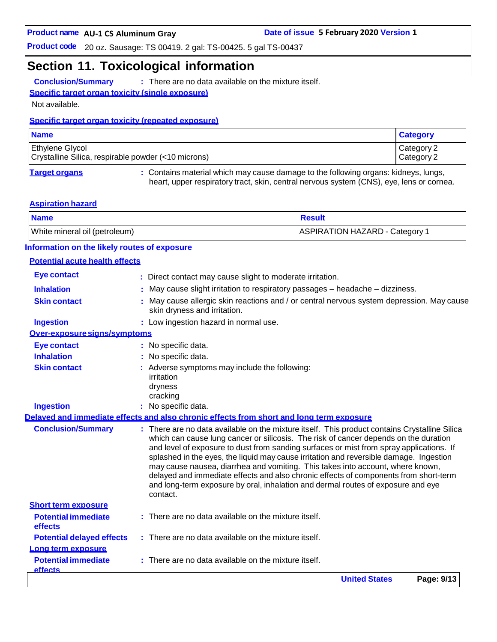**Product code** 20 oz. Sausage: TS 00419. 2 gal: TS-00425. 5 gal TS-00437

### **Section 11. Toxicological information**

**Conclusion/Summary :** There are no data available on the mixture itself.

### **Specific target organ toxicity (single exposure)**

Not available.

#### **Specific target organ toxicity (repeated exposure)**

| <b>Name</b>                                                                   | <b>Category</b>          |
|-------------------------------------------------------------------------------|--------------------------|
| <b>Ethylene Glycol</b><br>Crystalline Silica, respirable powder (<10 microns) | Category 2<br>Category 2 |
|                                                                               |                          |

**Target organs :** Contains material which may cause damage to the following organs: kidneys, lungs, heart, upper respiratory tract, skin, central nervous system (CNS), eye, lens or cornea.

#### **Aspiration hazard**

| <b>Name</b>                   | <b>Result</b>                  |
|-------------------------------|--------------------------------|
| White mineral oil (petroleum) | ASPIRATION HAZARD - Category 1 |

#### **Information on the likely routes of exposure**

#### **Potential acute health effects**

|                                              | <b>United States</b><br>Page: 9/13                                                                                                                                                                                                                                                                                                                                         |
|----------------------------------------------|----------------------------------------------------------------------------------------------------------------------------------------------------------------------------------------------------------------------------------------------------------------------------------------------------------------------------------------------------------------------------|
| <b>Potential immediate</b><br><b>effects</b> | There are no data available on the mixture itself.                                                                                                                                                                                                                                                                                                                         |
| Long term exposure                           |                                                                                                                                                                                                                                                                                                                                                                            |
| <b>Potential delayed effects</b>             | : There are no data available on the mixture itself.                                                                                                                                                                                                                                                                                                                       |
| effects                                      |                                                                                                                                                                                                                                                                                                                                                                            |
| <b>Potential immediate</b>                   | $:$ There are no data available on the mixture itself.                                                                                                                                                                                                                                                                                                                     |
| <b>Short term exposure</b>                   | may cause nausea, diarrhea and vomiting. This takes into account, where known,<br>delayed and immediate effects and also chronic effects of components from short-term<br>and long-term exposure by oral, inhalation and dermal routes of exposure and eye<br>contact.                                                                                                     |
| <b>Conclusion/Summary</b>                    | : There are no data available on the mixture itself. This product contains Crystalline Silica<br>which can cause lung cancer or silicosis. The risk of cancer depends on the duration<br>and level of exposure to dust from sanding surfaces or mist from spray applications. If<br>splashed in the eyes, the liquid may cause irritation and reversible damage. Ingestion |
|                                              | Delaved and immediate effects and also chronic effects from short and long term exposure                                                                                                                                                                                                                                                                                   |
| <b>Ingestion</b>                             | : No specific data.                                                                                                                                                                                                                                                                                                                                                        |
|                                              | dryness<br>cracking                                                                                                                                                                                                                                                                                                                                                        |
| <b>Skin contact</b>                          | : Adverse symptoms may include the following:<br>irritation                                                                                                                                                                                                                                                                                                                |
| <b>Inhalation</b>                            | No specific data.                                                                                                                                                                                                                                                                                                                                                          |
| <b>Eye contact</b>                           | : No specific data.                                                                                                                                                                                                                                                                                                                                                        |
| Over-exposure signs/symptoms                 |                                                                                                                                                                                                                                                                                                                                                                            |
| <b>Ingestion</b>                             | : Low ingestion hazard in normal use.                                                                                                                                                                                                                                                                                                                                      |
| <b>Skin contact</b>                          | May cause allergic skin reactions and / or central nervous system depression. May cause<br>skin dryness and irritation.                                                                                                                                                                                                                                                    |
| <b>Inhalation</b>                            | May cause slight irritation to respiratory passages - headache - dizziness.                                                                                                                                                                                                                                                                                                |
| <b>Eye contact</b>                           | : Direct contact may cause slight to moderate irritation.                                                                                                                                                                                                                                                                                                                  |
|                                              |                                                                                                                                                                                                                                                                                                                                                                            |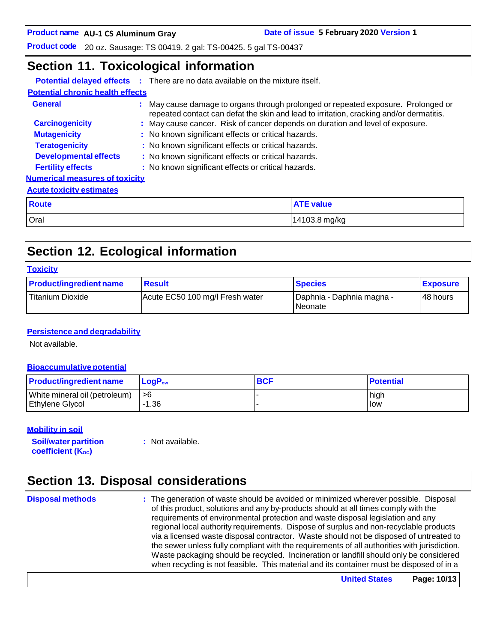**AU-1 CO-2020 Date of issue 5 February 2020 Version 1** 

**Product code** 20 oz. Sausage: TS 00419. 2 gal: TS-00425. 5 gal TS-00437

### **Section 11. Toxicological information**

|                                         |    | <b>Potential delayed effects : There are no data available on the mixture itself.</b> |                                                                                                                                                                            |  |  |  |
|-----------------------------------------|----|---------------------------------------------------------------------------------------|----------------------------------------------------------------------------------------------------------------------------------------------------------------------------|--|--|--|
| <b>Potential chronic health effects</b> |    |                                                                                       |                                                                                                                                                                            |  |  |  |
| <b>General</b>                          | ÷. |                                                                                       | May cause damage to organs through prolonged or repeated exposure. Prolonged or<br>repeated contact can defat the skin and lead to irritation, cracking and/or dermatitis. |  |  |  |
| <b>Carcinogenicity</b>                  |    | : May cause cancer. Risk of cancer depends on duration and level of exposure.         |                                                                                                                                                                            |  |  |  |
| <b>Mutagenicity</b>                     |    |                                                                                       | : No known significant effects or critical hazards.                                                                                                                        |  |  |  |
| <b>Teratogenicity</b>                   |    | : No known significant effects or critical hazards.                                   |                                                                                                                                                                            |  |  |  |
| <b>Developmental effects</b>            |    | : No known significant effects or critical hazards.                                   |                                                                                                                                                                            |  |  |  |
| <b>Fertility effects</b>                |    | : No known significant effects or critical hazards.                                   |                                                                                                                                                                            |  |  |  |
| <b>Numerical measures of toxicity</b>   |    |                                                                                       |                                                                                                                                                                            |  |  |  |
| <b>Acute toxicity estimates</b>         |    |                                                                                       |                                                                                                                                                                            |  |  |  |
| <b>Route</b>                            |    |                                                                                       | <b>ATE value</b>                                                                                                                                                           |  |  |  |
| Oral                                    |    |                                                                                       | 14103.8 mg/kg                                                                                                                                                              |  |  |  |

# **Section 12. Ecological information**

#### **Toxicity**

| <b>Product/ingredient name</b> | <b>Result</b>                   | <b>Species</b>                         | <b>Exposure</b> |
|--------------------------------|---------------------------------|----------------------------------------|-----------------|
| Titanium Dioxide               | Acute EC50 100 mg/l Fresh water | I Daphnia - Daphnia magna -<br>Neonate | 48 hours        |

#### **Persistence and degradability**

Not available.

#### **Bioaccumulative potential**

| <b>Product/ingredient name</b> | $LoaPow$ | <b>BCF</b> | <b>Potential</b> |
|--------------------------------|----------|------------|------------------|
| White mineral oil (petroleum)  | l >6     |            | high             |
| Ethylene Glycol                | -1.36    |            | low              |

#### **Mobility in soil**

**Soil/water partition coefficient** (K<sub>oc</sub>)

**:** Not available.

# **Section 13. Disposal considerations**

**Disposal methods :** The generation of waste should be avoided or minimized wherever possible. Disposal of this product, solutions and any by-products should at all times comply with the requirements of environmental protection and waste disposal legislation and any regional local authority requirements. Dispose of surplus and non-recyclable products via a licensed waste disposal contractor. Waste should not be disposed of untreated to the sewer unless fully compliant with the requirements of all authorities with jurisdiction. Waste packaging should be recycled. Incineration or landfill should only be considered when recycling is not feasible. This material and its container must be disposed of in a

**United States Page: 10/13**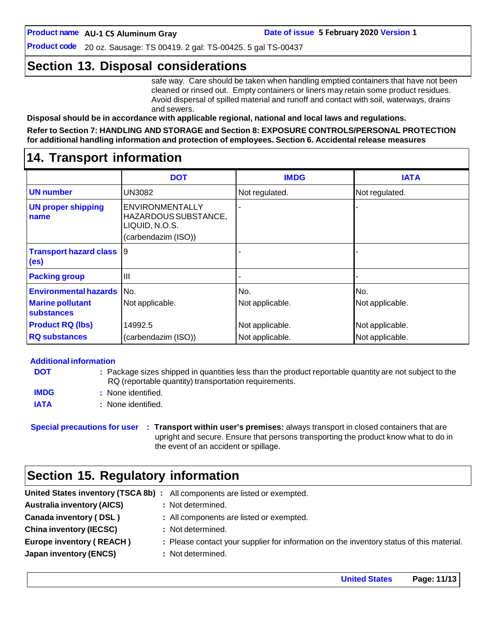**Product code** 20 oz. Sausage: TS 00419. 2 gal: TS-00425. 5 gal TS-00437

### **Section 13. Disposal considerations**

safe way. Care should be taken when handling emptied containers that have not been cleaned or rinsed out. Empty containers or liners may retain some product residues. Avoid dispersal of spilled material and runoff and contact with soil, waterways, drains and sewers.

**Disposal should be in accordance with applicable regional, national and local laws and regulations.**

**Refer to Section 7: HANDLING AND STORAGE and Section 8: EXPOSURE CONTROLS/PERSONAL PROTECTION for additional handling information and protection of employees. Section 6. Accidental release measures**

### **14. Transport information**

|                                                      | <b>DOT</b>                                                                       | <b>IMDG</b>     | <b>IATA</b>     |
|------------------------------------------------------|----------------------------------------------------------------------------------|-----------------|-----------------|
| <b>UN</b> number                                     | <b>UN3082</b>                                                                    | Not regulated.  | Not regulated.  |
| <b>UN proper shipping</b><br>name                    | ENVIRONMENTALLY<br>HAZARDOUS SUBSTANCE,<br>LIQUID, N.O.S.<br>(carbendazim (ISO)) |                 |                 |
| <b>Transport hazard class</b> 9<br>(e <sub>s</sub> ) |                                                                                  |                 |                 |
| <b>Packing group</b>                                 | Ш                                                                                |                 |                 |
| <b>Environmental hazards</b>                         | IN <sub>O</sub>                                                                  | No.             | No.             |
| <b>Marine pollutant</b><br>substances                | Not applicable.                                                                  | Not applicable. | Not applicable. |
| <b>Product RQ (lbs)</b>                              | 14992.5                                                                          | Not applicable. | Not applicable. |
| <b>RQ substances</b>                                 | (carbendazim (ISO))                                                              | Not applicable. | Not applicable. |

#### **Additional information**

| <b>DOT</b>  | : Package sizes shipped in quantities less than the product reportable quantity are not subject to the |
|-------------|--------------------------------------------------------------------------------------------------------|
|             | RQ (reportable quantity) transportation requirements.                                                  |
| <b>IMDG</b> | : None identified.                                                                                     |
| <b>IATA</b> | : None identified.                                                                                     |

**Special precautions for user : Transport within user's premises:** always transport in closed containers that are upright and secure. Ensure that persons transporting the product know what to do in the event of an accident or spillage.

### **Section 15. Regulatory information**

| <b>Australia inventory (AICS)</b><br>: Not determined.                                                                      |  |
|-----------------------------------------------------------------------------------------------------------------------------|--|
| Canada inventory (DSL)<br>: All components are listed or exempted.                                                          |  |
| <b>China inventory (IECSC)</b><br>: Not determined.                                                                         |  |
| <b>Europe inventory (REACH)</b><br>: Please contact your supplier for information on the inventory status of this material. |  |
| <b>Japan inventory (ENCS)</b><br>: Not determined.                                                                          |  |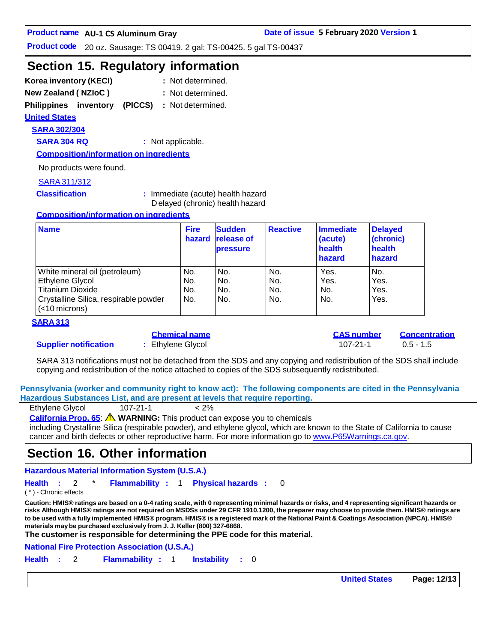**Product code** 20 oz. Sausage: TS 00419. 2 gal: TS-00425. 5 gal TS-00437

### **Section 15. Regulatory information**

- **Korea inventory (KECI) : New Zealand ( NZIoC ) :** : Not determined.
- : Not determined.
- **Philippines inventory (PICCS) :** Not determined.

#### **United States**

**SARA 302/304**

**SARA 304 RQ :** Not applicable.

**Composition/information on ingredients**

No products were found.

#### SARA311/312

**Classification :** Immediate (acute) health hazard D elayed (chronic) health hazard

#### **Composition/information on ingredients**

| <b>Name</b>                                               | <b>Fire</b><br>hazard | <b>Sudden</b><br><b>release of</b><br><b>pressure</b> | <b>Reactive</b> | Immediate<br>(acute)<br>health<br>hazard | <b>Delayed</b><br>(chronic)<br>health<br>hazard |
|-----------------------------------------------------------|-----------------------|-------------------------------------------------------|-----------------|------------------------------------------|-------------------------------------------------|
| White mineral oil (petroleum)                             | No.                   | No.                                                   | No.             | Yes.                                     | No.                                             |
| Ethylene Glycol                                           | No.                   | No.                                                   | No.             | Yes.                                     | Yes.                                            |
| <b>Titanium Dioxide</b>                                   | No.                   | No.                                                   | No.             | No.                                      | Yes.                                            |
| Crystalline Silica, respirable powder<br>$(<$ 10 microns) | No.                   | No.                                                   | No.             | No.                                      | Yes.                                            |

#### **SARA 313**

### **Supplier notification : Ethylene Glycol** 107-21-1 0.5 - 1.5

|  | GHEINGA HANG    |  |  |
|--|-----------------|--|--|
|  | Fthylene Glycol |  |  |

**Chemical name CAS number Concentration**

SARA 313 notifications must not be detached from the SDS and any copying and redistribution of the SDS shall include copying and redistribution of the notice attached to copies of the SDS subsequently redistributed.

**Pennsylvania (worker and community right to know act): The following components are cited in the Pennsylvania Hazardous Substances List, and are present at levels that require reporting.**

| $< 2\%$ | $107 - 21 - 1$ | Ethylene Glycol |
|---------|----------------|-----------------|
|         |                |                 |

**California Prop. 65**: **WARNING:** This product can expose you to chemicals

including Crystalline Silica (respirable powder), and ethylene glycol, which are known to the State of California to cause cancer and birth defects or other reproductive harm. For more information go to [www.P65Warnings.ca.gov.](http://www.p65warnings.ca.gov/)

### **Section 16. Other information**

**Hazardous Material Information System (U.S.A.)**

**Health :** 2 \* **Flammability :** 1 **Physical hazards :** 0

( \* ) - Chronic effects

Caution: HMIS® ratings are based on a 0-4 rating scale, with 0 representing minimal hazards or risks, and 4 representing significant hazards or risks Although HMIS® ratings are not required on MSDSs under 29 CFR 1910.1200, the preparer may choose to provide them. HMIS® ratings are to be used with a fully implemented HMIS® program. HMIS® is a registered mark of the National Paint & Coatings Association (NPCA). HMIS® **materials maybe purchased exclusively from J. J. Keller (800) 327-6868.**

**The customer is responsible for determining the PPE code for this material.**

**National Fire Protection Association (U.S.A.)**

**Health :** 2 **Flammability :** 1 **Instability :** 0

**United States Page: 12/13**